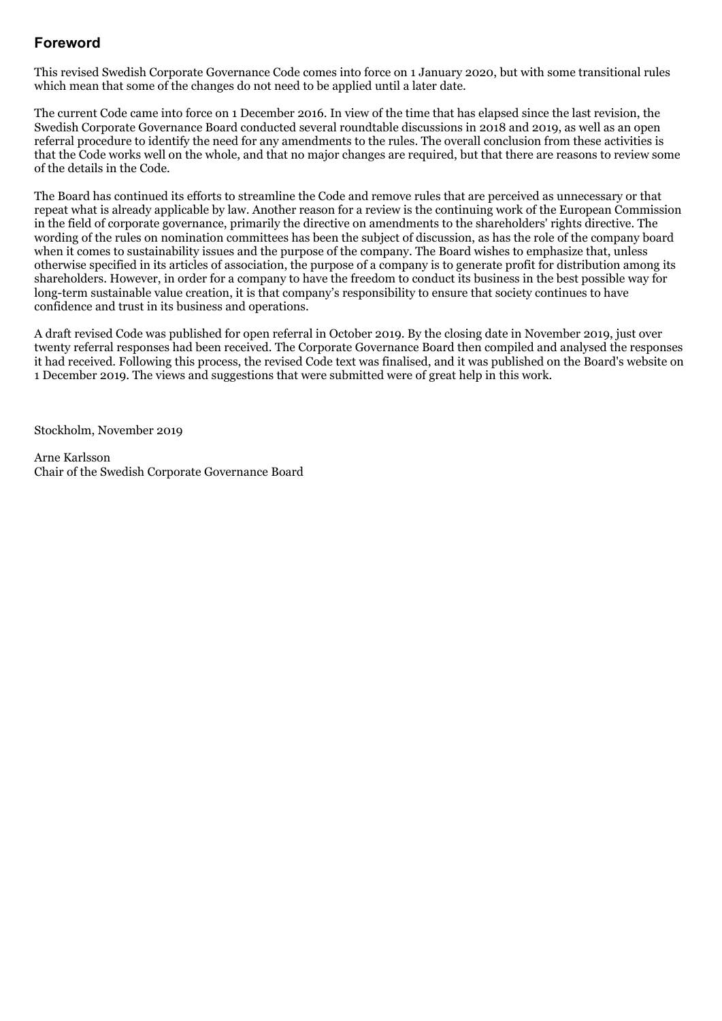# **Foreword**

This revised Swedish Corporate Governance Code comes into force on 1 January 2020, but with some transitional rules which mean that some of the changes do not need to be applied until a later date.

The current Code came into force on 1 December 2016. In view of the time that has elapsed since the last revision, the Swedish Corporate Governance Board conducted several roundtable discussions in 2018 and 2019, as well as an open referral procedure to identify the need for any amendments to the rules. The overall conclusion from these activities is that the Code works well on the whole, and that no major changes are required, but that there are reasons to review some of the details in the Code.

The Board has continued its efforts to streamline the Code and remove rules that are perceived as unnecessary or that repeat what is already applicable by law. Another reason for a review is the continuing work of the European Commission in the field of corporate governance, primarily the directive on amendments to the shareholders' rights directive. The wording of the rules on nomination committees has been the subject of discussion, as has the role of the company board when it comes to sustainability issues and the purpose of the company. The Board wishes to emphasize that, unless otherwise specified in its articles of association, the purpose of a company is to generate profit for distribution among its shareholders. However, in order for a company to have the freedom to conduct its business in the best possible way for long-term sustainable value creation, it is that company's responsibility to ensure that society continues to have confidence and trust in its business and operations.

A draft revised Code was published for open referral in October 2019. By the closing date in November 2019, just over twenty referral responses had been received. The Corporate Governance Board then compiled and analysed the responses it had received. Following this process, the revised Code text was finalised, and it was published on the Board's website on 1 December 2019. The views and suggestions that were submitted were of great help in this work.

Stockholm, November 2019

Arne Karlsson Chair of the Swedish Corporate Governance Board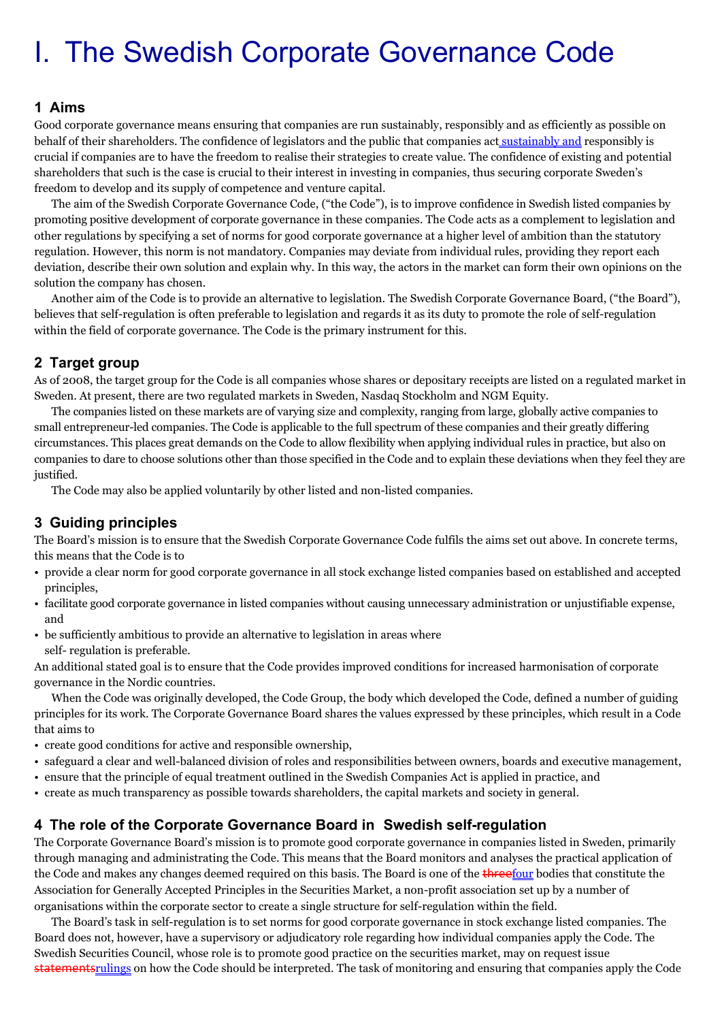# I. The Swedish Corporate Governance Code

## **1 Aims**

Good corporate governance means ensuring that companies are run sustainably, responsibly and as efficiently as possible on behalf of their shareholders. The confidence of legislators and the public that companies act sustainably and responsibly is crucial if companies are to have the freedom to realise their strategies to create value. The confidence of existing and potential shareholders that such is the case is crucial to their interest in investing in companies, thus securing corporate Sweden's freedom to develop and its supply of competence and venture capital.

The aim of the Swedish Corporate Governance Code, ("the Code"), is to improve confidence in Swedish listed companies by promoting positive development of corporate governance in these companies. The Code acts as a complement to legislation and other regulations by specifying a set of norms for good corporate governance at a higher level of ambition than the statutory regulation. However, this norm is not mandatory. Companies may deviate from individual rules, providing they report each deviation, describe their own solution and explain why. In this way, the actors in the market can form their own opinions on the solution the company has chosen.

Another aim of the Code is to provide an alternative to legislation. The Swedish Corporate Governance Board, ("the Board"), believes that self-regulation is often preferable to legislation and regards it as its duty to promote the role of self-regulation within the field of corporate governance. The Code is the primary instrument for this.

## **2 Target group**

As of 2008, the target group for the Code is all companies whose shares or depositary receipts are listed on a regulated market in Sweden. At present, there are two regulated markets in Sweden, Nasdaq Stockholm and NGM Equity.

The companies listed on these markets are of varying size and complexity, ranging from large, globally active companies to small entrepreneur-led companies. The Code is applicable to the full spectrum of these companies and their greatly differing circumstances. This places great demands on the Code to allow flexibility when applying individual rules in practice, but also on companies to dare to choose solutions other than those specified in the Code and to explain these deviations when they feel they are justified.

The Code may also be applied voluntarily by other listed and non-listed companies.

# **3 Guiding principles**

The Board's mission is to ensure that the Swedish Corporate Governance Code fulfils the aims set out above. In concrete terms, this means that the Code is to

- provide a clear norm for good corporate governance in all stock exchange listed companies based on established and accepted principles,
- facilitate good corporate governance in listed companies without causing unnecessary administration or unjustifiable expense, and
- be sufficiently ambitious to provide an alternative to legislation in areas where self- regulation is preferable.

An additional stated goal is to ensure that the Code provides improved conditions for increased harmonisation of corporate governance in the Nordic countries.

When the Code was originally developed, the Code Group, the body which developed the Code, defined a number of guiding principles for its work. The Corporate Governance Board shares the values expressed by these principles, which result in a Code that aims to

- create good conditions for active and responsible ownership,
- safeguard a clear and well-balanced division of roles and responsibilities between owners, boards and executive management,
- ensure that the principle of equal treatment outlined in the Swedish Companies Act is applied in practice, and
- create as much transparency as possible towards shareholders, the capital markets and society in general.

# **4 The role of the Corporate Governance Board in Swedish self-regulation**

The Corporate Governance Board's mission is to promote good corporate governance in companies listed in Sweden, primarily through managing and administrating the Code. This means that the Board monitors and analyses the practical application of the Code and makes any changes deemed required on this basis. The Board is one of the threefour bodies that constitute the Association for Generally Accepted Principles in the Securities Market, a non-profit association set up by a number of organisations within the corporate sector to create a single structure for self-regulation within the field.

The Board's task in self-regulation is to set norms for good corporate governance in stock exchange listed companies. The Board does not, however, have a supervisory or adjudicatory role regarding how individual companies apply the Code. The Swedish Securities Council, whose role is to promote good practice on the securities market, may on request issue statementsrulings on how the Code should be interpreted. The task of monitoring and ensuring that companies apply the Code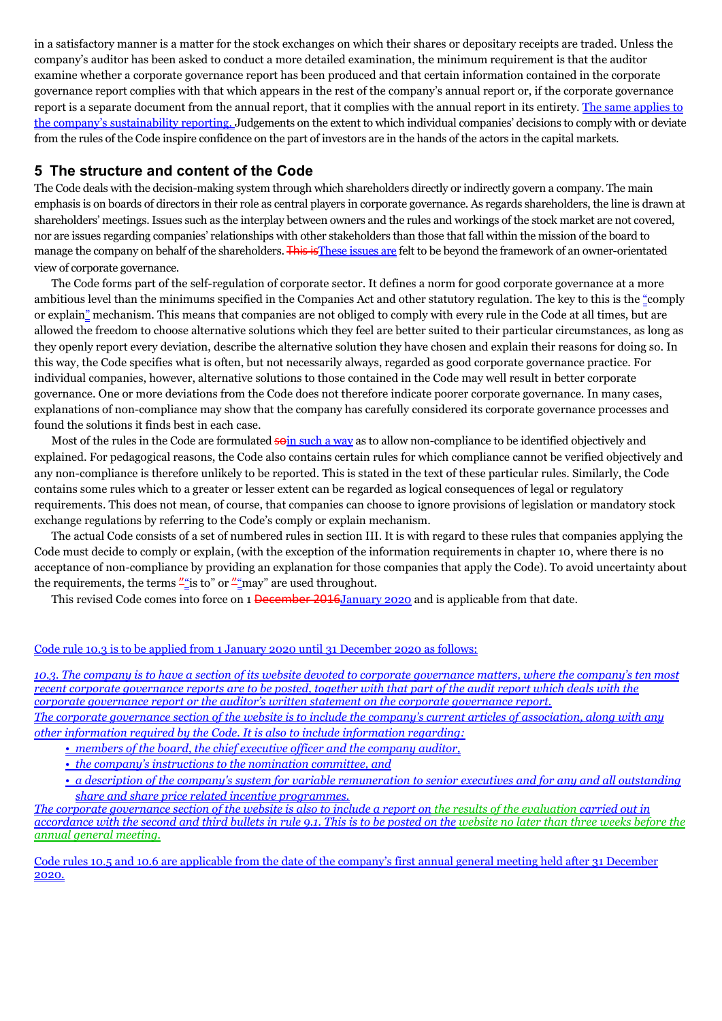in a satisfactory manner is a matter for the stock exchanges on which their shares or depositary receipts are traded. Unless the company's auditor has been asked to conduct a more detailed examination, the minimum requirement is that the auditor examine whether a corporate governance report has been produced and that certain information contained in the corporate governance report complies with that which appears in the rest of the company's annual report or, if the corporate governance report is a separate document from the annual report, that it complies with the annual report in its entirety. The same applies to the company's sustainability reporting. Judgements on the extent to which individual companies' decisions to comply with or deviate from the rules of the Code inspire confidence on the part of investors are in the hands of the actors in the capital markets.

## **5 The structure and content of the Code**

The Code deals with the decision-making system through which shareholders directly or indirectly govern a company. The main emphasis is on boards of directors in their role as central players in corporate governance. As regards shareholders, the line is drawn at shareholders' meetings. Issues such as the interplay between owners and the rules and workings of the stock market are not covered, nor are issues regarding companies' relationships with other stakeholders than those that fall within the mission of the board to manage the company on behalf of the shareholders. This is These issues are felt to be beyond the framework of an owner-orientated view of corporate governance.

The Code forms part of the self-regulation of corporate sector. It defines a norm for good corporate governance at a more ambitious level than the minimums specified in the Companies Act and other statutory regulation. The key to this is the "comply or explain" mechanism. This means that companies are not obliged to comply with every rule in the Code at all times, but are allowed the freedom to choose alternative solutions which they feel are better suited to their particular circumstances, as long as they openly report every deviation, describe the alternative solution they have chosen and explain their reasons for doing so. In this way, the Code specifies what is often, but not necessarily always, regarded as good corporate governance practice. For individual companies, however, alternative solutions to those contained in the Code may well result in better corporate governance. One or more deviations from the Code does not therefore indicate poorer corporate governance. In many cases, explanations of non-compliance may show that the company has carefully considered its corporate governance processes and found the solutions it finds best in each case.

Most of the rules in the Code are formulated soin such a way as to allow non-compliance to be identified objectively and explained. For pedagogical reasons, the Code also contains certain rules for which compliance cannot be verified objectively and any non-compliance is therefore unlikely to be reported. This is stated in the text of these particular rules. Similarly, the Code contains some rules which to a greater or lesser extent can be regarded as logical consequences of legal or regulatory requirements. This does not mean, of course, that companies can choose to ignore provisions of legislation or mandatory stock exchange regulations by referring to the Code's comply or explain mechanism.

The actual Code consists of a set of numbered rules in section III. It is with regard to these rules that companies applying the Code must decide to comply or explain, (with the exception of the information requirements in chapter 10, where there is no acceptance of non-compliance by providing an explanation for those companies that apply the Code). To avoid uncertainty about the requirements, the terms  $\frac{n}{n}$  is to" or  $\frac{n}{n}$  are used throughout.

This revised Code comes into force on 1 December 2016 January 2020 and is applicable from that date.

#### Code rule 10.3 is to be applied from 1 January 2020 until 31 December 2020 as follows:

*10.3. The company is to have a section of its website devoted to corporate governance matters, where the company's ten most recent corporate governance reports are to be posted, together with that part of the audit report which deals with the corporate governance report or the auditor's written statement on the corporate governance report. The corporate governance section of the website is to include the company's current articles of association, along with any other information required by the Code. It is also to include information regarding:*

*• members of the board, the chief executive officer and the company auditor,*

*• the company's instructions to the nomination committee, and*

*• a description of the company's system for variable remuneration to senior executives and for any and all outstanding share and share price related incentive programmes.*

*The corporate governance section of the website is also to include a report on the results of the evaluation carried out in accordance with the second and third bullets in rule 9.1. This is to be posted on the website no later than three weeks before the annual general meeting.*

Code rules 10.5 and 10.6 are applicable from the date of the company's first annual general meeting held after 31 December 2020.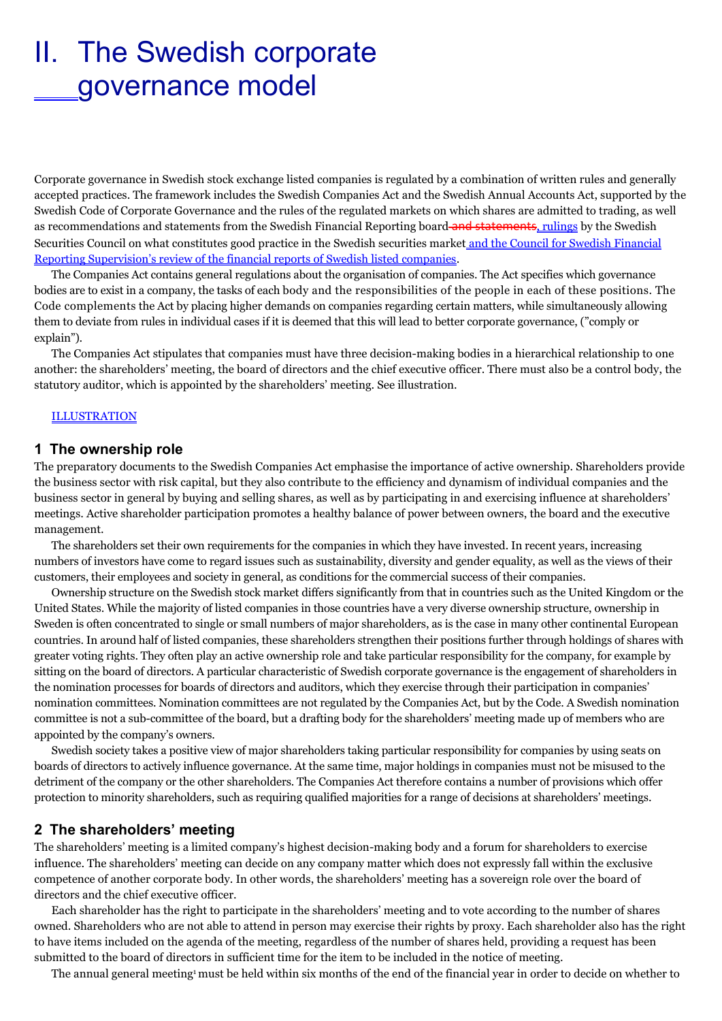# II. The Swedish corporate governance model

Corporate governance in Swedish stock exchange listed companies is regulated by a combination of written rules and generally accepted practices. The framework includes the Swedish Companies Act and the Swedish Annual Accounts Act, supported by the Swedish Code of Corporate Governance and the rules of the regulated markets on which shares are admitted to trading, as well as recommendations and statements from the Swedish Financial Reporting board-and statements, rulings by the Swedish Securities Council on what constitutes good practice in the Swedish securities market and the Council for Swedish Financial Reporting Supervision's review of the financial reports of Swedish listed companies.

The Companies Act contains general regulations about the organisation of companies. The Act specifies which governance bodies are to exist in a company, the tasks of each body and the responsibilities of the people in each of these positions. The Code complements the Act by placing higher demands on companies regarding certain matters, while simultaneously allowing them to deviate from rules in individual cases if it is deemed that this will lead to better corporate governance, ("comply or explain").

The Companies Act stipulates that companies must have three decision-making bodies in a hierarchical relationship to one another: the shareholders' meeting, the board of directors and the chief executive officer. There must also be a control body, the statutory auditor, which is appointed by the shareholders' meeting. See illustration.

#### **ILLUSTRATION**

#### **1 The ownership role**

The preparatory documents to the Swedish Companies Act emphasise the importance of active ownership. Shareholders provide the business sector with risk capital, but they also contribute to the efficiency and dynamism of individual companies and the business sector in general by buying and selling shares, as well as by participating in and exercising influence at shareholders' meetings. Active shareholder participation promotes a healthy balance of power between owners, the board and the executive management.

The shareholders set their own requirements for the companies in which they have invested. In recent years, increasing numbers of investors have come to regard issues such as sustainability, diversity and gender equality, as well as the views of their customers, their employees and society in general, as conditions for the commercial success of their companies.

Ownership structure on the Swedish stock market differs significantly from that in countries such as the United Kingdom or the United States. While the majority of listed companies in those countries have a very diverse ownership structure, ownership in Sweden is often concentrated to single or small numbers of major shareholders, as is the case in many other continental European countries. In around half of listed companies, these shareholders strengthen their positions further through holdings of shares with greater voting rights. They often play an active ownership role and take particular responsibility for the company, for example by sitting on the board of directors. A particular characteristic of Swedish corporate governance is the engagement of shareholders in the nomination processes for boards of directors and auditors, which they exercise through their participation in companies' nomination committees. Nomination committees are not regulated by the Companies Act, but by the Code. A Swedish nomination committee is not a sub-committee of the board, but a drafting body for the shareholders' meeting made up of members who are appointed by the company's owners.

Swedish society takes a positive view of major shareholders taking particular responsibility for companies by using seats on boards of directors to actively influence governance. At the same time, major holdings in companies must not be misused to the detriment of the company or the other shareholders. The Companies Act therefore contains a number of provisions which offer protection to minority shareholders, such as requiring qualified majorities for a range of decisions at shareholders' meetings.

#### **2 The shareholders' meeting**

The shareholders' meeting is a limited company's highest decision-making body and a forum for shareholders to exercise influence. The shareholders' meeting can decide on any company matter which does not expressly fall within the exclusive competence of another corporate body. In other words, the shareholders' meeting has a sovereign role over the board of directors and the chief executive officer.

Each shareholder has the right to participate in the shareholders' meeting and to vote according to the number of shares owned. Shareholders who are not able to attend in person may exercise their rights by proxy. Each shareholder also has the right to have items included on the agenda of the meeting, regardless of the number of shares held, providing a request has been submitted to the board of directors in sufficient time for the item to be included in the notice of meeting.

The annual general meeting<sup>1</sup> must be held within six months of the end of the financial year in order to decide on whether to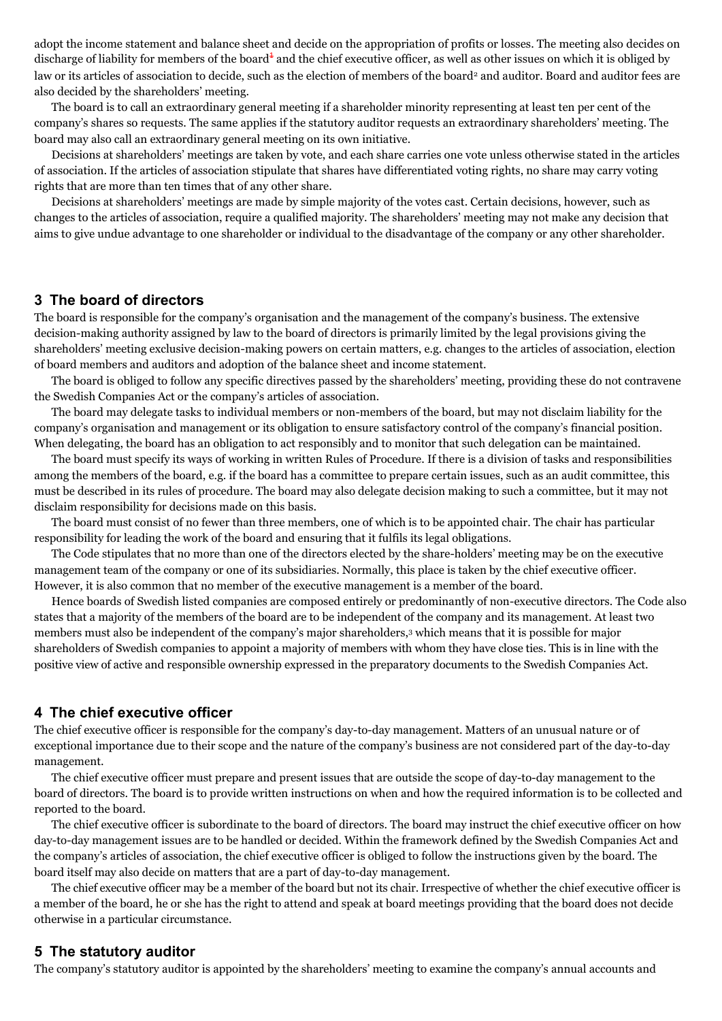adopt the income statement and balance sheet and decide on the appropriation of profits or losses. The meeting also decides on discharge of liability for members of the board<sup>+</sup> and the chief executive officer, as well as other issues on which it is obliged by law or its articles of association to decide, such as the election of members of the board<sup>2</sup> and auditor. Board and auditor fees are also decided by the shareholders' meeting.

The board is to call an extraordinary general meeting if a shareholder minority representing at least ten per cent of the company's shares so requests. The same applies if the statutory auditor requests an extraordinary shareholders' meeting. The board may also call an extraordinary general meeting on its own initiative.

Decisions at shareholders' meetings are taken by vote, and each share carries one vote unless otherwise stated in the articles of association. If the articles of association stipulate that shares have differentiated voting rights, no share may carry voting rights that are more than ten times that of any other share.

Decisions at shareholders' meetings are made by simple majority of the votes cast. Certain decisions, however, such as changes to the articles of association, require a qualified majority. The shareholders' meeting may not make any decision that aims to give undue advantage to one shareholder or individual to the disadvantage of the company or any other shareholder.

#### **3 The board of directors**

The board is responsible for the company's organisation and the management of the company's business. The extensive decision-making authority assigned by law to the board of directors is primarily limited by the legal provisions giving the shareholders' meeting exclusive decision-making powers on certain matters, e.g. changes to the articles of association, election of board members and auditors and adoption of the balance sheet and income statement.

The board is obliged to follow any specific directives passed by the shareholders' meeting, providing these do not contravene the Swedish Companies Act or the company's articles of association.

The board may delegate tasks to individual members or non-members of the board, but may not disclaim liability for the company's organisation and management or its obligation to ensure satisfactory control of the company's financial position. When delegating, the board has an obligation to act responsibly and to monitor that such delegation can be maintained.

The board must specify its ways of working in written Rules of Procedure. If there is a division of tasks and responsibilities among the members of the board, e.g. if the board has a committee to prepare certain issues, such as an audit committee, this must be described in its rules of procedure. The board may also delegate decision making to such a committee, but it may not disclaim responsibility for decisions made on this basis.

The board must consist of no fewer than three members, one of which is to be appointed chair. The chair has particular responsibility for leading the work of the board and ensuring that it fulfils its legal obligations.

The Code stipulates that no more than one of the directors elected by the share-holders' meeting may be on the executive management team of the company or one of its subsidiaries. Normally, this place is taken by the chief executive officer. However, it is also common that no member of the executive management is a member of the board.

Hence boards of Swedish listed companies are composed entirely or predominantly of non-executive directors. The Code also states that a majority of the members of the board are to be independent of the company and its management. At least two members must also be independent of the company's major shareholders,<sup>3</sup> which means that it is possible for major shareholders of Swedish companies to appoint a majority of members with whom they have close ties. This is in line with the positive view of active and responsible ownership expressed in the preparatory documents to the Swedish Companies Act.

#### **4 The chief executive officer**

The chief executive officer is responsible for the company's day-to-day management. Matters of an unusual nature or of exceptional importance due to their scope and the nature of the company's business are not considered part of the day-to-day management.

The chief executive officer must prepare and present issues that are outside the scope of day-to-day management to the board of directors. The board is to provide written instructions on when and how the required information is to be collected and reported to the board.

The chief executive officer is subordinate to the board of directors. The board may instruct the chief executive officer on how day-to-day management issues are to be handled or decided. Within the framework defined by the Swedish Companies Act and the company's articles of association, the chief executive officer is obliged to follow the instructions given by the board. The board itself may also decide on matters that are a part of day-to-day management.

The chief executive officer may be a member of the board but not its chair. Irrespective of whether the chief executive officer is a member of the board, he or she has the right to attend and speak at board meetings providing that the board does not decide otherwise in a particular circumstance.

#### **5 The statutory auditor**

The company's statutory auditor is appointed by the shareholders' meeting to examine the company's annual accounts and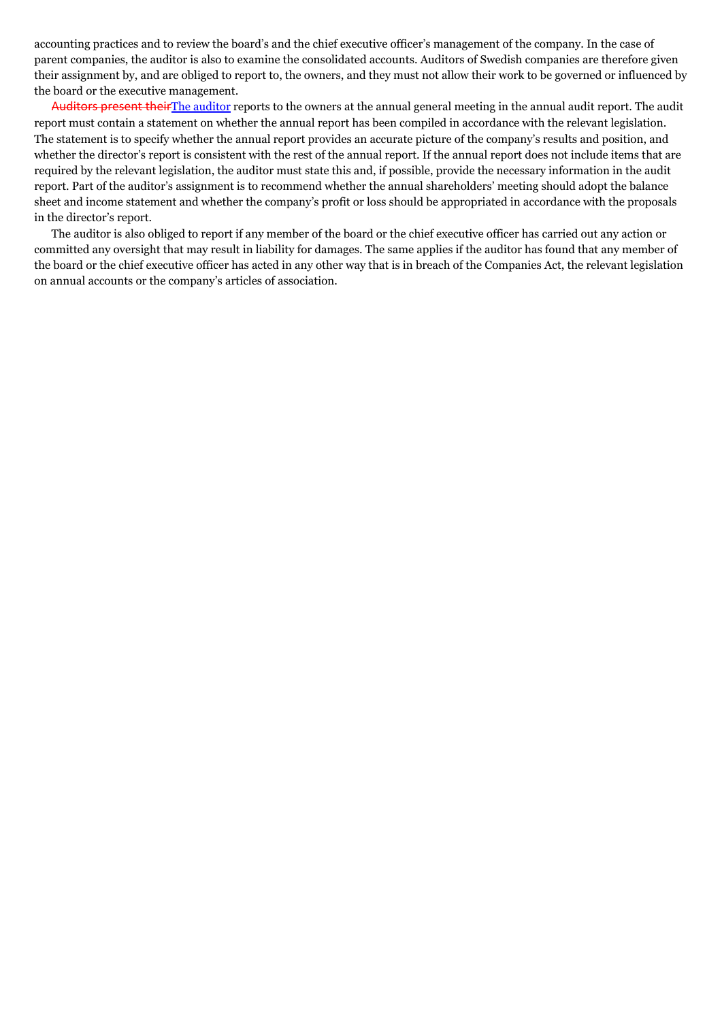accounting practices and to review the board's and the chief executive officer's management of the company. In the case of parent companies, the auditor is also to examine the consolidated accounts. Auditors of Swedish companies are therefore given their assignment by, and are obliged to report to, the owners, and they must not allow their work to be governed or influenced by the board or the executive management.

Auditors present theirThe auditor reports to the owners at the annual general meeting in the annual audit report. The audit report must contain a statement on whether the annual report has been compiled in accordance with the relevant legislation. The statement is to specify whether the annual report provides an accurate picture of the company's results and position, and whether the director's report is consistent with the rest of the annual report. If the annual report does not include items that are required by the relevant legislation, the auditor must state this and, if possible, provide the necessary information in the audit report. Part of the auditor's assignment is to recommend whether the annual shareholders' meeting should adopt the balance sheet and income statement and whether the company's profit or loss should be appropriated in accordance with the proposals in the director's report.

The auditor is also obliged to report if any member of the board or the chief executive officer has carried out any action or committed any oversight that may result in liability for damages. The same applies if the auditor has found that any member of the board or the chief executive officer has acted in any other way that is in breach of the Companies Act, the relevant legislation on annual accounts or the company's articles of association.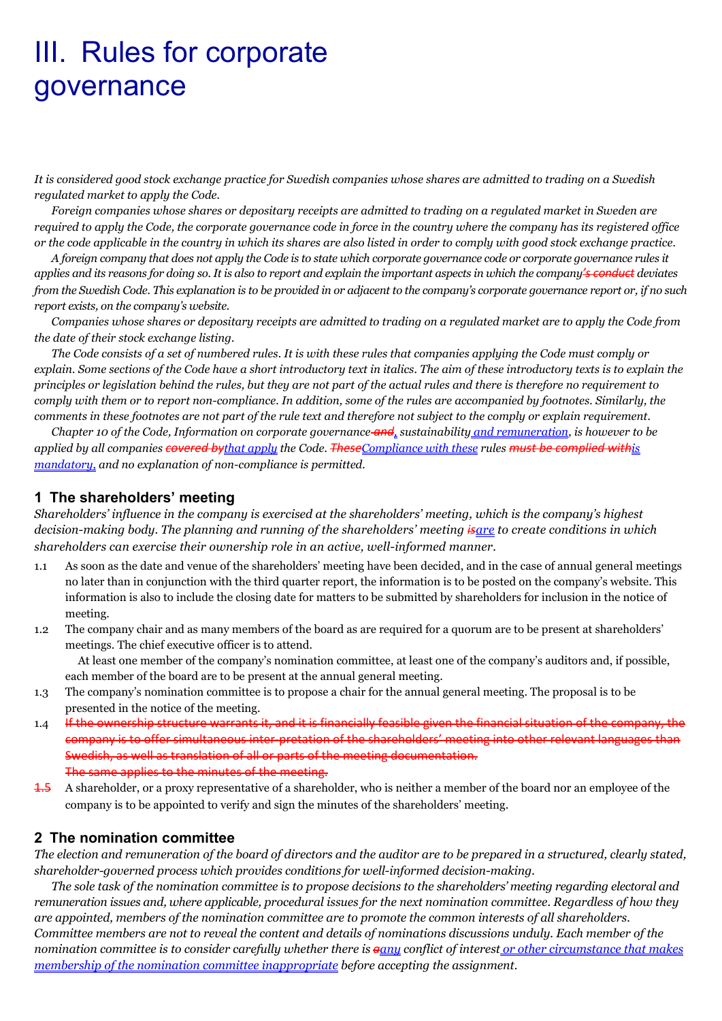# III. Rules for corporate governance

*It is considered good stock exchange practice for Swedish companies whose shares are admitted to trading on a Swedish regulated market to apply the Code.*

*Foreign companies whose shares or depositary receipts are admitted to trading on a regulated market in Sweden are required to apply the Code, the corporate governance code in force in the country where the company has its registered office or the code applicable in the country in which its shares are also listed in order to comply with good stock exchange practice.* 

*A foreign company that does not apply the Code is to state which corporate governance code or corporate governance rules it applies and its reasons for doing so. It is also to report and explain the important aspects in which the company's conduct deviates from the Swedish Code. This explanation is to be provided in or adjacent to the company's corporate governance report or, if no such report exists, on the company's website.*

*Companies whose shares or depositary receipts are admitted to trading on a regulated market are to apply the Code from the date of their stock exchange listing.* 

*The Code consists of a set of numbered rules. It is with these rules that companies applying the Code must comply or explain. Some sections of the Code have a short introductory text in italics. The aim of these introductory texts is to explain the principles or legislation behind the rules, but they are not part of the actual rules and there is therefore no requirement to comply with them or to report non-compliance. In addition, some of the rules are accompanied by footnotes. Similarly, the comments in these footnotes are not part of the rule text and therefore not subject to the comply or explain requirement.*

*Chapter 10 of the Code, Information on corporate governance and, sustainability and remuneration, is however to be applied by all companies covered bythat apply the Code. TheseCompliance with these rules must be complied withis mandatory, and no explanation of non-compliance is permitted.* 

## **1 The shareholders' meeting**

*Shareholders' influence in the company is exercised at the shareholders' meeting, which is the company's highest decision-making body. The planning and running of the shareholders' meeting isare to create conditions in which shareholders can exercise their ownership role in an active, well-informed manner.* 

- 1.1 As soon as the date and venue of the shareholders' meeting have been decided, and in the case of annual general meetings no later than in conjunction with the third quarter report, the information is to be posted on the company's website. This information is also to include the closing date for matters to be submitted by shareholders for inclusion in the notice of meeting.
- 1.2 The company chair and as many members of the board as are required for a quorum are to be present at shareholders' meetings. The chief executive officer is to attend.

At least one member of the company's nomination committee, at least one of the company's auditors and, if possible, each member of the board are to be present at the annual general meeting.

- 1.3 The company's nomination committee is to propose a chair for the annual general meeting. The proposal is to be presented in the notice of the meeting.
- 1.4 If the ownership structure warrants it, and it is financially feasible given the financial situation of the company, the company is to offer simultaneous inter-pretation of the shareholders' meeting into other relevant languages than Swedish, as well as translation of all or parts of the meeting documentation. The same applies to the minutes of the meeting.
- 1.5 A shareholder, or a proxy representative of a shareholder, who is neither a member of the board nor an employee of the company is to be appointed to verify and sign the minutes of the shareholders' meeting.

# **2 The nomination committee**

*The election and remuneration of the board of directors and the auditor are to be prepared in a structured, clearly stated, shareholder-governed process which provides conditions for well-informed decision-making.*

*The sole task of the nomination committee is to propose decisions to the shareholders' meeting regarding electoral and remuneration issues and, where applicable, procedural issues for the next nomination committee. Regardless of how they are appointed, members of the nomination committee are to promote the common interests of all shareholders. Committee members are not to reveal the content and details of nominations discussions unduly. Each member of the nomination committee is to consider carefully whether there is aany conflict of interest or other circumstance that makes membership of the nomination committee inappropriate before accepting the assignment.*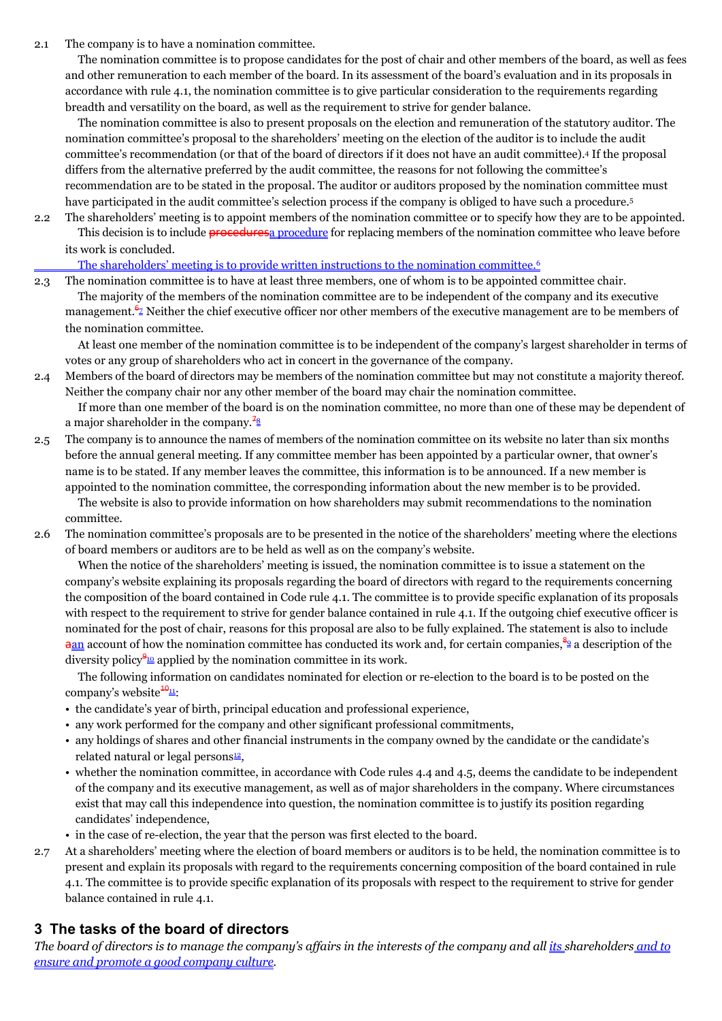2.1 The company is to have a nomination committee.

The nomination committee is to propose candidates for the post of chair and other members of the board, as well as fees and other remuneration to each member of the board. In its assessment of the board's evaluation and in its proposals in accordance with rule 4.1, the nomination committee is to give particular consideration to the requirements regarding breadth and versatility on the board, as well as the requirement to strive for gender balance.

The nomination committee is also to present proposals on the election and remuneration of the statutory auditor. The nomination committee's proposal to the shareholders' meeting on the election of the auditor is to include the audit committee's recommendation (or that of the board of directors if it does not have an audit committee).<sup>4</sup> If the proposal differs from the alternative preferred by the audit committee, the reasons for not following the committee's recommendation are to be stated in the proposal. The auditor or auditors proposed by the nomination committee must have participated in the audit committee's selection process if the company is obliged to have such a procedure.<sup>5</sup>

2.2 The shareholders' meeting is to appoint members of the nomination committee or to specify how they are to be appointed. This decision is to include **procedures** a procedure for replacing members of the nomination committee who leave before its work is concluded.

#### The shareholders' meeting is to provide written instructions to the nomination committee.<sup>6</sup>

2.3 The nomination committee is to have at least three members, one of whom is to be appointed committee chair. The majority of the members of the nomination committee are to be independent of the company and its executive management. $\frac{6}{2}$  Neither the chief executive officer nor other members of the executive management are to be members of the nomination committee.

At least one member of the nomination committee is to be independent of the company's largest shareholder in terms of votes or any group of shareholders who act in concert in the governance of the company.

2.4 Members of the board of directors may be members of the nomination committee but may not constitute a majority thereof. Neither the company chair nor any other member of the board may chair the nomination committee.

If more than one member of the board is on the nomination committee, no more than one of these may be dependent of a major shareholder in the company. $\frac{78}{8}$ 

2.5 The company is to announce the names of members of the nomination committee on its website no later than six months before the annual general meeting. If any committee member has been appointed by a particular owner, that owner's name is to be stated. If any member leaves the committee, this information is to be announced. If a new member is appointed to the nomination committee, the corresponding information about the new member is to be provided.

The website is also to provide information on how shareholders may submit recommendations to the nomination committee.

2.6 The nomination committee's proposals are to be presented in the notice of the shareholders' meeting where the elections of board members or auditors are to be held as well as on the company's website.

When the notice of the shareholders' meeting is issued, the nomination committee is to issue a statement on the company's website explaining its proposals regarding the board of directors with regard to the requirements concerning the composition of the board contained in Code rule 4.1. The committee is to provide specific explanation of its proposals with respect to the requirement to strive for gender balance contained in rule 4.1. If the outgoing chief executive officer is nominated for the post of chair, reasons for this proposal are also to be fully explained. The statement is also to include  $\frac{2an}{n}$  account of how the nomination committee has conducted its work and, for certain companies,  $\frac{9}{2}$  a description of the diversity policy $\frac{910}{2}$  applied by the nomination committee in its work.

The following information on candidates nominated for election or re-election to the board is to be posted on the company's website $\frac{10}{11}$ :

- the candidate's year of birth, principal education and professional experience,
- any work performed for the company and other significant professional commitments,
- any holdings of shares and other financial instruments in the company owned by the candidate or the candidate's related natural or legal persons<sup>12</sup>,
- whether the nomination committee, in accordance with Code rules 4.4 and 4.5, deems the candidate to be independent of the company and its executive management, as well as of major shareholders in the company. Where circumstances exist that may call this independence into question, the nomination committee is to justify its position regarding candidates' independence,
- in the case of re-election, the year that the person was first elected to the board.
- 2.7 At a shareholders' meeting where the election of board members or auditors is to be held, the nomination committee is to present and explain its proposals with regard to the requirements concerning composition of the board contained in rule 4.1. The committee is to provide specific explanation of its proposals with respect to the requirement to strive for gender balance contained in rule 4.1.

# **3 The tasks of the board of directors**

*The board of directors is to manage the company's affairs in the interests of the company and all its shareholders and to ensure and promote a good company culture.*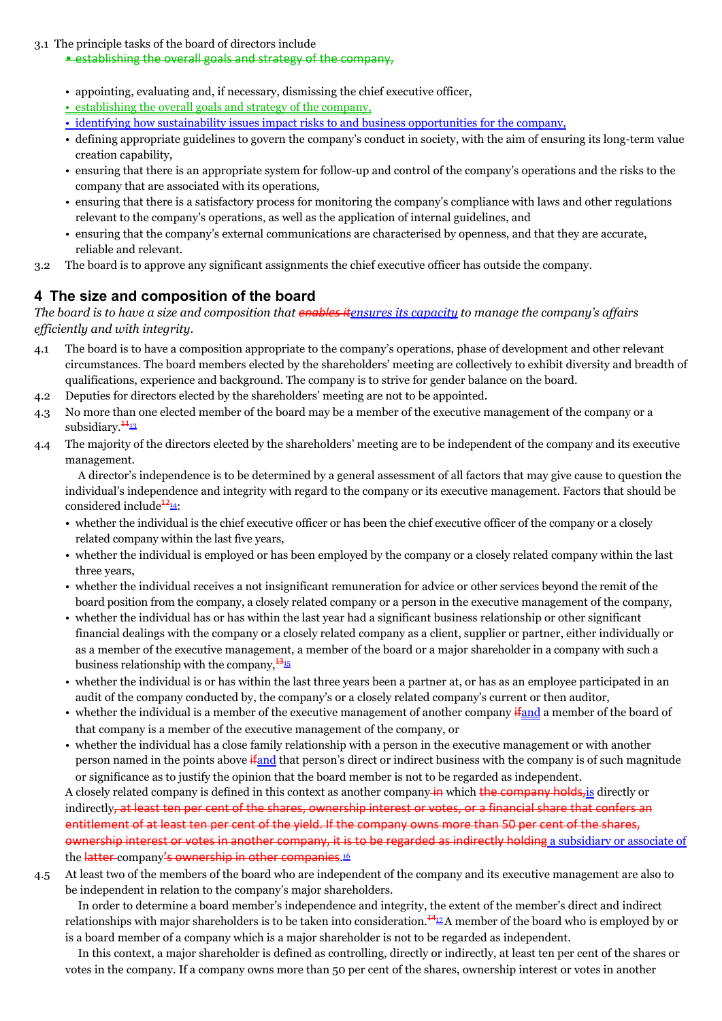#### 3.1 The principle tasks of the board of directors include

#### • establishing the overall goals and strategy of the company,

- appointing, evaluating and, if necessary, dismissing the chief executive officer,
- establishing the overall goals and strategy of the company,
- identifying how sustainability issues impact risks to and business opportunities for the company,
- defining appropriate guidelines to govern the company's conduct in society, with the aim of ensuring its long-term value creation capability,
- ensuring that there is an appropriate system for follow-up and control of the company's operations and the risks to the company that are associated with its operations,
- ensuring that there is a satisfactory process for monitoring the company's compliance with laws and other regulations relevant to the company's operations, as well as the application of internal guidelines, and
- ensuring that the company's external communications are characterised by openness, and that they are accurate, reliable and relevant.
- 3.2 The board is to approve any significant assignments the chief executive officer has outside the company.

# **4 The size and composition of the board**

*The board is to have a size and composition that enables itensures its capacity to manage the company's affairs efficiently and with integrity.* 

- 4.1 The board is to have a composition appropriate to the company's operations, phase of development and other relevant circumstances. The board members elected by the shareholders' meeting are collectively to exhibit diversity and breadth of qualifications, experience and background. The company is to strive for gender balance on the board.
- 4.2 Deputies for directors elected by the shareholders' meeting are not to be appointed.
- 4.3 No more than one elected member of the board may be a member of the executive management of the company or a subsidiary. $\frac{44}{13}$
- 4.4 The majority of the directors elected by the shareholders' meeting are to be independent of the company and its executive management.

A director's independence is to be determined by a general assessment of all factors that may give cause to question the individual's independence and integrity with regard to the company or its executive management. Factors that should be considered include $\frac{12}{4}$ :

- whether the individual is the chief executive officer or has been the chief executive officer of the company or a closely related company within the last five years,
- whether the individual is employed or has been employed by the company or a closely related company within the last three years,
- whether the individual receives a not insignificant remuneration for advice or other services beyond the remit of the board position from the company, a closely related company or a person in the executive management of the company,
- whether the individual has or has within the last year had a significant business relationship or other significant financial dealings with the company or a closely related company as a client, supplier or partner, either individually or as a member of the executive management, a member of the board or a major shareholder in a company with such a business relationship with the company,  $\frac{13}{15}$
- whether the individual is or has within the last three years been a partner at, or has as an employee participated in an audit of the company conducted by, the company's or a closely related company's current or then auditor,
- whether the individual is a member of the executive management of another company if and a member of the board of that company is a member of the executive management of the company, or
- whether the individual has a close family relationship with a person in the executive management or with another person named in the points above if and that person's direct or indirect business with the company is of such magnitude or significance as to justify the opinion that the board member is not to be regarded as independent.

A closely related company is defined in this context as another company in which the company holds, is directly or indirectly, at least ten per cent of the shares, ownership interest or votes, or a financial share that confers an entitlement of at least ten per cent of the yield. If the company owns more than 50 per cent of the shares, ownership interest or votes in another company, it is to be regarded as indirectly holding a subsidiary or associate of the <del>latter</del> company<del>'s ownership in other companies</del>.

4.5 At least two of the members of the board who are independent of the company and its executive management are also to be independent in relation to the company's major shareholders.

In order to determine a board member's independence and integrity, the extent of the member's direct and indirect relationships with major shareholders is to be taken into consideration. $\frac{44}{2}A$  member of the board who is employed by or is a board member of a company which is a major shareholder is not to be regarded as independent.

In this context, a major shareholder is defined as controlling, directly or indirectly, at least ten per cent of the shares or votes in the company. If a company owns more than 50 per cent of the shares, ownership interest or votes in another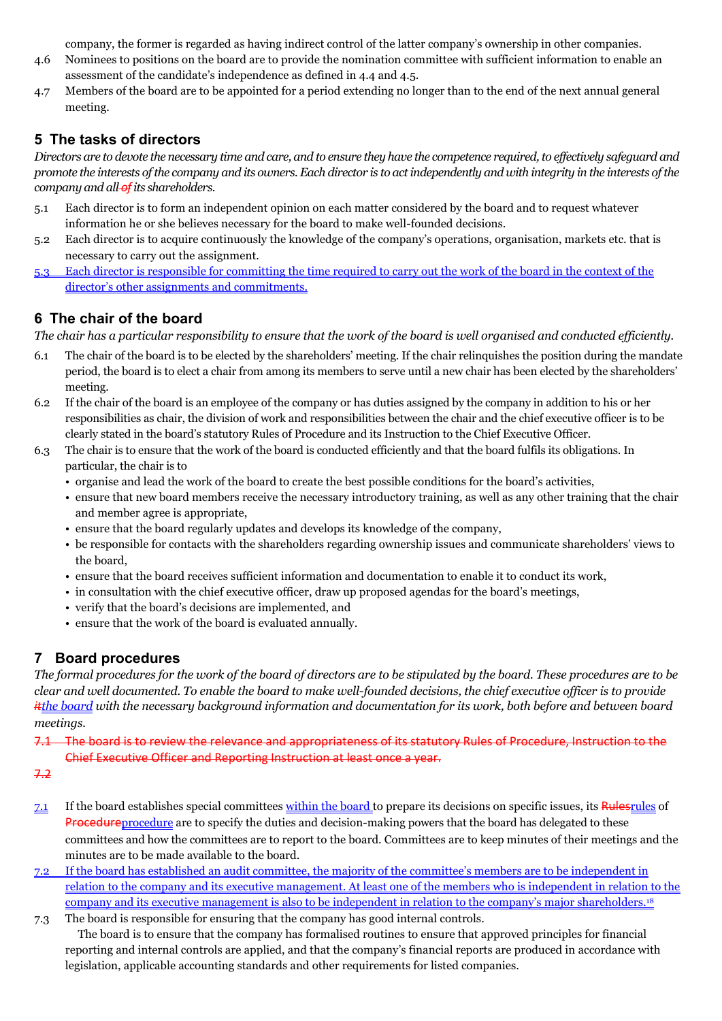company, the former is regarded as having indirect control of the latter company's ownership in other companies.

- 4.6 Nominees to positions on the board are to provide the nomination committee with sufficient information to enable an assessment of the candidate's independence as defined in 4.4 and 4.5.
- 4.7 Members of the board are to be appointed for a period extending no longer than to the end of the next annual general meeting.

# **5 The tasks of directors**

*Directors are to devote the necessary time and care, and to ensure they have the competence required, to effectively safeguard and promote the interests of the company and its owners. Each director is to act independently and with integrity in the interests of the company and all ofits shareholders.* 

- 5.1 Each director is to form an independent opinion on each matter considered by the board and to request whatever information he or she believes necessary for the board to make well-founded decisions.
- 5.2 Each director is to acquire continuously the knowledge of the company's operations, organisation, markets etc. that is necessary to carry out the assignment.
- 5.3 Each director is responsible for committing the time required to carry out the work of the board in the context of the director's other assignments and commitments.

# **6 The chair of the board**

*The chair has a particular responsibility to ensure that the work of the board is well organised and conducted efficiently.*

- 6.1 The chair of the board is to be elected by the shareholders' meeting. If the chair relinquishes the position during the mandate period, the board is to elect a chair from among its members to serve until a new chair has been elected by the shareholders' meeting.
- 6.2 If the chair of the board is an employee of the company or has duties assigned by the company in addition to his or her responsibilities as chair, the division of work and responsibilities between the chair and the chief executive officer is to be clearly stated in the board's statutory Rules of Procedure and its Instruction to the Chief Executive Officer.
- 6.3 The chair is to ensure that the work of the board is conducted efficiently and that the board fulfils its obligations. In particular, the chair is to
	- organise and lead the work of the board to create the best possible conditions for the board's activities,
	- ensure that new board members receive the necessary introductory training, as well as any other training that the chair and member agree is appropriate,
	- ensure that the board regularly updates and develops its knowledge of the company,
	- be responsible for contacts with the shareholders regarding ownership issues and communicate shareholders' views to the board,
	- ensure that the board receives sufficient information and documentation to enable it to conduct its work,
	- in consultation with the chief executive officer, draw up proposed agendas for the board's meetings,
	- verify that the board's decisions are implemented, and
	- ensure that the work of the board is evaluated annually.

# **7 Board procedures**

*The formal procedures for the work of the board of directors are to be stipulated by the board. These procedures are to be clear and well documented. To enable the board to make well-founded decisions, the chief executive officer is to provide itthe board with the necessary background information and documentation for its work, both before and between board meetings.* 

7.1 The board is to review the relevance and appropriateness of its statutory Rules of Procedure, Instruction to the Chief Executive Officer and Reporting Instruction at least once a year.

- 7.2
- 7.1 If the board establishes special committees within the board to prepare its decisions on specific issues, its Rulesrules of **Procedure** procedure are to specify the duties and decision-making powers that the board has delegated to these committees and how the committees are to report to the board. Committees are to keep minutes of their meetings and the minutes are to be made available to the board.
- 7.2 If the board has established an audit committee, the majority of the committee's members are to be independent in relation to the company and its executive management. At least one of the members who is independent in relation to the company and its executive management is also to be independent in relation to the company's major shareholders.<sup>18</sup>
- 7.3 The board is responsible for ensuring that the company has good internal controls. The board is to ensure that the company has formalised routines to ensure that approved principles for financial reporting and internal controls are applied, and that the company's financial reports are produced in accordance with legislation, applicable accounting standards and other requirements for listed companies.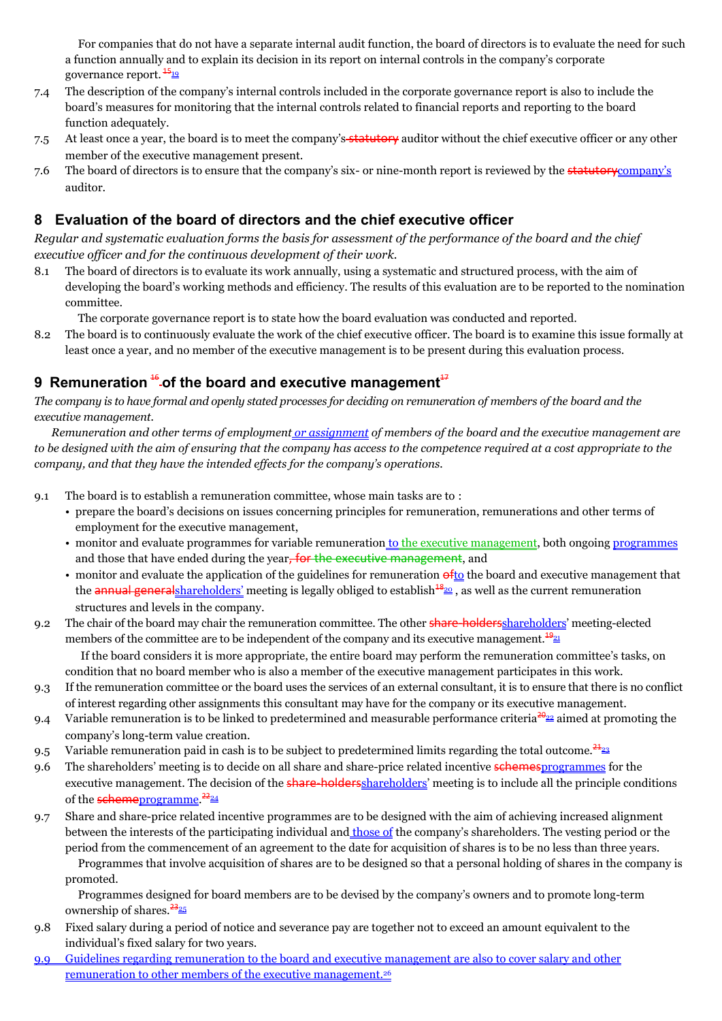For companies that do not have a separate internal audit function, the board of directors is to evaluate the need for such a function annually and to explain its decision in its report on internal controls in the company's corporate governance report.  $\frac{45}{19}$ 

- 7.4 The description of the company's internal controls included in the corporate governance report is also to include the board's measures for monitoring that the internal controls related to financial reports and reporting to the board function adequately.
- 7.5 At least once a year, the board is to meet the company's statutory auditor without the chief executive officer or any other member of the executive management present.
- 7.6 The board of directors is to ensure that the company's six- or nine-month report is reviewed by the **statutory**company's auditor.

# **8 Evaluation of the board of directors and the chief executive officer**

*Regular and systematic evaluation forms the basis for assessment of the performance of the board and the chief executive officer and for the continuous development of their work.*

8.1 The board of directors is to evaluate its work annually, using a systematic and structured process, with the aim of developing the board's working methods and efficiency. The results of this evaluation are to be reported to the nomination committee.

The corporate governance report is to state how the board evaluation was conducted and reported.

8.2 The board is to continuously evaluate the work of the chief executive officer. The board is to examine this issue formally at least once a year, and no member of the executive management is to be present during this evaluation process.

# **9** Remuneration <sup>16</sup>-of the board and executive management<sup>17</sup>

*The company is to have formal and openly stated processes for deciding on remuneration of members of the board and the executive management.*

*Remuneration and other terms of employment or assignment of members of the board and the executive management are to be designed with the aim of ensuring that the company has access to the competence required at a cost appropriate to the company, and that they have the intended effects for the company's operations.*

- 9.1 The board is to establish a remuneration committee, whose main tasks are to :
	- prepare the board's decisions on issues concerning principles for remuneration, remunerations and other terms of employment for the executive management,
	- monitor and evaluate programmes for variable remuneration to the executive management, both ongoing programmes and those that have ended during the year, for the executive management, and
	- monitor and evaluate the application of the guidelines for remuneration  $\frac{\partial f}{\partial x}$  the board and executive management that the annual general shareholders' meeting is legally obliged to establish<sup>48<sub>20</sub></sup>, as well as the current remuneration structures and levels in the company.
- 9.2 The chair of the board may chair the remuneration committee. The other **share-holders**shareholders' meeting-elected members of the committee are to be independent of the company and its executive management.<sup>1921</sup> If the board considers it is more appropriate, the entire board may perform the remuneration committee's tasks, on

condition that no board member who is also a member of the executive management participates in this work. 9.3 If the remuneration committee or the board uses the services of an external consultant, it is to ensure that there is no conflict

- of interest regarding other assignments this consultant may have for the company or its executive management.
- 9.4 Variable remuneration is to be linked to predetermined and measurable performance criteria<sup>30</sup><sup>22</sup> aimed at promoting the company's long-term value creation.
- 9.5 Variable remuneration paid in cash is to be subject to predetermined limits regarding the total outcome. $\frac{24}{23}$
- 9.6 The shareholders' meeting is to decide on all share and share-price related incentive schemes programmes for the executive management. The decision of the **share-holders** shareholders' meeting is to include all the principle conditions of the <del>scheme</del>programme. <sup>22</sup>24
- 9.7 Share and share-price related incentive programmes are to be designed with the aim of achieving increased alignment between the interests of the participating individual and **those of** the company's shareholders. The vesting period or the period from the commencement of an agreement to the date for acquisition of shares is to be no less than three years.

Programmes that involve acquisition of shares are to be designed so that a personal holding of shares in the company is promoted.

Programmes designed for board members are to be devised by the company's owners and to promote long-term ownership of shares. $\frac{23}{25}$ 

- 9.8 Fixed salary during a period of notice and severance pay are together not to exceed an amount equivalent to the individual's fixed salary for two years.
- 9.9 Guidelines regarding remuneration to the board and executive management are also to cover salary and other remuneration to other members of the executive management.26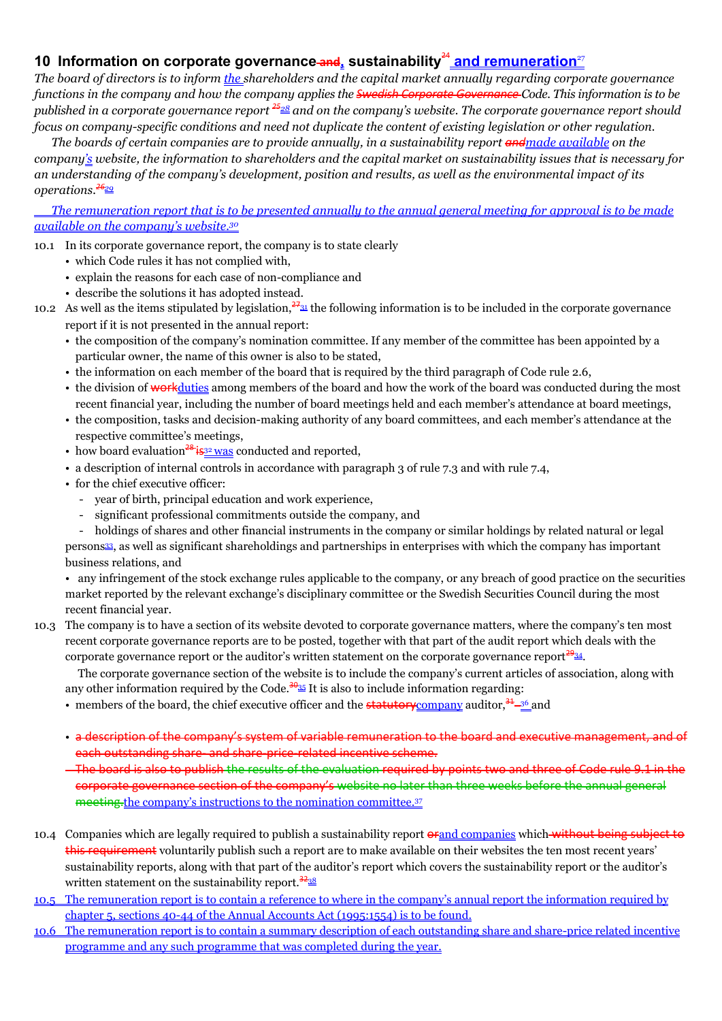# **10** Information on corporate governance and sustainability<sup>24</sup> and remuneration<sup>27</sup>

*The board of directors is to inform the shareholders and the capital market annually regarding corporate governance functions in the company and how the company applies the Swedish Corporate Governance Code. This information is to be published in a corporate governance report <sup>25</sup><sup>28</sup> and on the company's website. The corporate governance report should focus on company-specific conditions and need not duplicate the content of existing legislation or other regulation.* 

*The boards of certain companies are to provide annually, in a sustainability report andmade available on the company's website, the information to shareholders and the capital market on sustainability issues that is necessary for an understanding of the company's development, position and results, as well as the environmental impact of its operations.<sup>26</sup><sup>29</sup>*

*The remuneration report that is to be presented annually to the annual general meeting for approval is to be made available on the company's website.<sup>30</sup>*

10.1 In its corporate governance report, the company is to state clearly

- which Code rules it has not complied with,
- explain the reasons for each case of non-compliance and
- describe the solutions it has adopted instead.
- 10.2 As well as the items stipulated by legislation,  $\frac{27a}{31}$  the following information is to be included in the corporate governance report if it is not presented in the annual report:
	- the composition of the company's nomination committee. If any member of the committee has been appointed by a particular owner, the name of this owner is also to be stated,
	- the information on each member of the board that is required by the third paragraph of Code rule 2.6,
	- the division of workduties among members of the board and how the work of the board was conducted during the most recent financial year, including the number of board meetings held and each member's attendance at board meetings,
	- the composition, tasks and decision-making authority of any board committees, and each member's attendance at the respective committee's meetings,
	- how board evaluation<sup>28</sup> is  $\frac{32 \text{ was}}{2}$  conducted and reported,
	- a description of internal controls in accordance with paragraph 3 of rule 7.3 and with rule 7.4,
	- for the chief executive officer:
		- year of birth, principal education and work experience,
		- significant professional commitments outside the company, and
		- holdings of shares and other financial instruments in the company or similar holdings by related natural or legal

persons33, as well as significant shareholdings and partnerships in enterprises with which the company has important business relations, and

• any infringement of the stock exchange rules applicable to the company, or any breach of good practice on the securities market reported by the relevant exchange's disciplinary committee or the Swedish Securities Council during the most recent financial year.

10.3 The company is to have a section of its website devoted to corporate governance matters, where the company's ten most recent corporate governance reports are to be posted, together with that part of the audit report which deals with the corporate governance report or the auditor's written statement on the corporate governance report $2934$ .

The corporate governance section of the website is to include the company's current articles of association, along with any other information required by the Code.<sup>3035</sup> It is also to include information regarding:

- members of the board, the chief executive officer and the **statutory** company auditor,  $\frac{34}{2}$  and
- a description of the company's system of variable remuneration to the board and executive management, and of each outstanding share- and share-price-related incentive scheme.

The board is also to publish the results of the evaluation required by points two and three of Code rule 9.1 in the corporate governance section of the company's website no later than three weeks before the annual general meeting.the company's instructions to the nomination committee.<sup>37</sup>

- 10.4 Companies which are legally required to publish a sustainability report  $\theta$  and companies which without being subject to this requirement voluntarily publish such a report are to make available on their websites the ten most recent years' sustainability reports, along with that part of the auditor's report which covers the sustainability report or the auditor's written statement on the sustainability report.  $\frac{3238}{1}$
- 10.5 The remuneration report is to contain a reference to where in the company's annual report the information required by chapter 5, sections 40-44 of the Annual Accounts Act (1995:1554) is to be found.
- 10.6 The remuneration report is to contain a summary description of each outstanding share and share-price related incentive programme and any such programme that was completed during the year.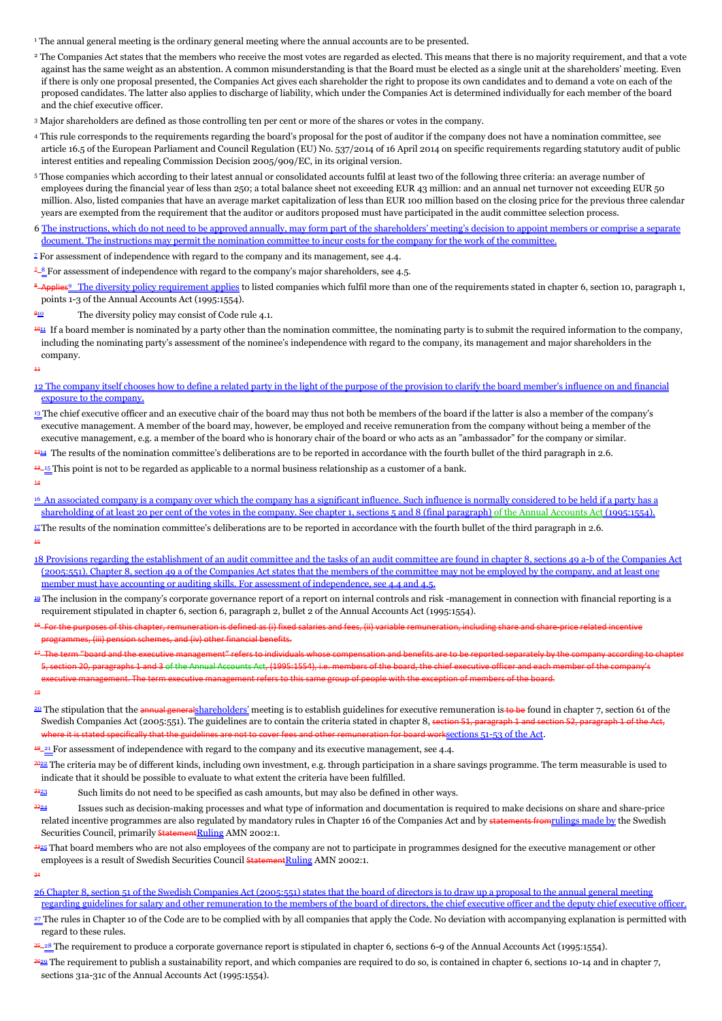<sup>1</sup> The annual general meeting is the ordinary general meeting where the annual accounts are to be presented.

- <sup>2</sup> The Companies Act states that the members who receive the most votes are regarded as elected. This means that there is no majority requirement, and that a vote against has the same weight as an abstention. A common misunderstanding is that the Board must be elected as a single unit at the shareholders' meeting. Even if there is only one proposal presented, the Companies Act gives each shareholder the right to propose its own candidates and to demand a vote on each of the proposed candidates. The latter also applies to discharge of liability, which under the Companies Act is determined individually for each member of the board and the chief executive officer.
- <sup>3</sup> Major shareholders are defined as those controlling ten per cent or more of the shares or votes in the company.
- <sup>4</sup> This rule corresponds to the requirements regarding the board's proposal for the post of auditor if the company does not have a nomination committee, see article 16.5 of the European Parliament and Council Regulation (EU) No. 537/2014 of 16 April 2014 on specific requirements regarding statutory audit of public interest entities and repealing Commission Decision 2005/909/EC, in its original version.
- <sup>5</sup> Those companies which according to their latest annual or consolidated accounts fulfil at least two of the following three criteria: an average number of employees during the financial year of less than 250; a total balance sheet not exceeding EUR 43 million: and an annual net turnover not exceeding EUR 50 million. Also, listed companies that have an average market capitalization of less than EUR 100 million based on the closing price for the previous three calendar years are exempted from the requirement that the auditor or auditors proposed must have participated in the audit committee selection process.
- 6 The instructions, which do not need to be approved annually, may form part of the shareholders' meeting's decision to appoint members or comprise a separate document. The instructions may permit the nomination committee to incur costs for the company for the work of the committee.
- $\frac{2}{3}$  For assessment of independence with regard to the company and its management, see 4.4.
- $7 8$  For assessment of independence with regard to the company's major shareholders, see 4.5.
- <sup>8</sup>-Applies<sup>9</sup> The diversity policy requirement applies to listed companies which fulfil more than one of the requirements stated in chapter 6, section 10, paragraph 1, points 1-3 of the Annual Accounts Act (1995:1554).
- The diversity policy may consist of Code rule 4.1.
- $\frac{4011}{201}$  If a board member is nominated by a party other than the nomination committee, the nominating party is to submit the required information to the company, including the nominating party's assessment of the nominee's independence with regard to the company, its management and major shareholders in the company.

11 ŕ,

#### 12 The company itself chooses how to define a related party in the light of the purpose of the provision to clarify the board member's influence on and financial exposure to the company.

- <sup>13</sup> The chief executive officer and an executive chair of the board may thus not both be members of the board if the latter is also a member of the company's executive management. A member of the board may, however, be employed and receive remuneration from the company without being a member of the executive management, e.g. a member of the board who is honorary chair of the board or who acts as an "ambassador" for the company or similar.
- <sup>4214</sup> The results of the nomination committee's deliberations are to be reported in accordance with the fourth bullet of the third paragraph in 2.6.
- $13-15$  This point is not to be regarded as applicable to a normal business relationship as a customer of a bank.
- 14
- <sup>16</sup> An associated company is a company over which the company has a significant influence. Such influence is normally considered to be held if a party has a shareholding of at least 20 per cent of the votes in the company. See chapter 1, sections 5 and 8 (final paragraph) of the Annual Accounts Act (1995:1554).
- $\Xi$ The results of the nomination committee's deliberations are to be reported in accordance with the fourth bullet of the third paragraph in 2.6. 15
- 18 Provisions regarding the establishment of an audit committee and the tasks of an audit committee are found in chapter 8, sections 49 a-b of the Companies Act (2005:551). Chapter 8, section 49 a of the Companies Act states that the members of the committee may not be employed by the company, and at least one member must have accounting or auditing skills. For assessment of independence, see 4.4 and 4.5.
- <sup>19</sup> The inclusion in the company's corporate governance report of a report on internal controls and risk -management in connection with financial reporting is a requirement stipulated in chapter 6, section 6, paragraph 2, bullet 2 of the Annual Accounts Act (1995:1554).
- 16 For the purposes of this chapter, remuneration is defined as (i) fixed salaries and fees, (ii) variable remuneration, including share and share-price related incentive mes, (iii) pension schemes, and (iv) other financial benefits.
- 17 The term "board and the executive management" refers to individuals whose compensation and benefits are to be reported separately by the company according to chapter section 20, paragraphs 1 and 3 of the Annual Accounts Act, (1995:1554), i.e. members of the board, the chief executive officer and each member of the company's
- ecutive management. The term executive management refers to this same group of people with the exception of members of the board.
- 18

24 ŕ,

- <sup>21</sup> The stipulation that the annual generalshareholders' meeting is to establish guidelines for executive remuneration is to be found in chapter 7, section 61 of the Swedish Companies Act (2005:551). The guidelines are to contain the criteria stated in chapter 8, section 51, paragraph 1 and section 52, paragraph 1 and section 52, paragraph 1 and section 52, paragraph 1 of the Act and eration for board worksections 51-53 of the Act.
- $\frac{49-21}{2}$  For assessment of independence with regard to the company and its executive management, see 4.4.
- <sup>2022</sup> The criteria may be of different kinds, including own investment, e.g. through participation in a share savings programme. The term measurable is used to indicate that it should be possible to evaluate to what extent the criteria have been fulfilled.
- Such limits do not need to be specified as cash amounts, but may also be defined in other ways.
- Issues such as decision-making processes and what type of information and documentation is required to make decisions on share and share-price related incentive programmes are also regulated by mandatory rules in Chapter 16 of the Companies Act and by statements fromrulings made by the Swedish Securities Council, primarily **StatementRuling AMN 2002:1.**
- $\frac{2325}{2}$  That board members who are not also employees of the company are not to participate in programmes designed for the executive management or other employees is a result of Swedish Securities Council Statement Ruling AMN 2002:1.
- 26 Chapter 8, section 51 of the Swedish Companies Act (2005:551) states that the board of directors is to draw up a proposal to the annual general meeting regarding guidelines for salary and other remuneration to the members of the board of directors, the chief executive officer and the deputy chief executive officer.
- 27 The rules in Chapter 10 of the Code are to be complied with by all companies that apply the Code. No deviation with accompanying explanation is permitted with regard to these rules.
- <sup>25</sup>-<sup>28</sup> The requirement to produce a corporate governance report is stipulated in chapter 6, sections 6-9 of the Annual Accounts Act (1995:1554).
- $\frac{2620}{26}$  The requirement to publish a sustainability report, and which companies are required to do so, is contained in chapter 6, sections 10-14 and in chapter 7, sections 31a-31c of the Annual Accounts Act (1995:1554).